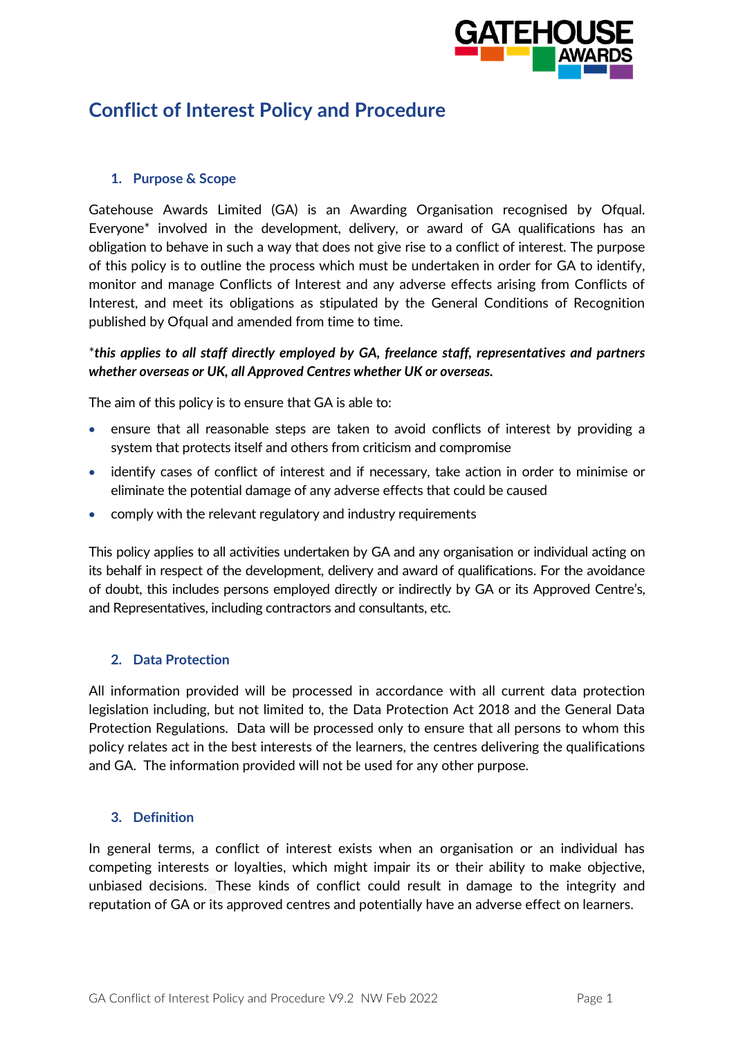

# **Conflict of Interest Policy and Procedure**

### **1. Purpose & Scope**

Gatehouse Awards Limited (GA) is an Awarding Organisation recognised by Ofqual. Everyone\* involved in the development, delivery, or award of GA qualifications has an obligation to behave in such a way that does not give rise to a conflict of interest. The purpose of this policy is to outline the process which must be undertaken in order for GA to identify, monitor and manage Conflicts of Interest and any adverse effects arising from Conflicts of Interest, and meet its obligations as stipulated by the General Conditions of Recognition published by Ofqual and amended from time to time.

## \**this applies to all staff directly employed by GA, freelance staff, representatives and partners whether overseas or UK, all Approved Centres whether UK or overseas.*

The aim of this policy is to ensure that GA is able to:

- ensure that all reasonable steps are taken to avoid conflicts of interest by providing a system that protects itself and others from criticism and compromise
- identify cases of conflict of interest and if necessary, take action in order to minimise or eliminate the potential damage of any adverse effects that could be caused
- comply with the relevant regulatory and industry requirements

This policy applies to all activities undertaken by GA and any organisation or individual acting on its behalf in respect of the development, delivery and award of qualifications. For the avoidance of doubt, this includes persons employed directly or indirectly by GA or its Approved Centre's, and Representatives, including contractors and consultants, etc.

#### **2. Data Protection**

All information provided will be processed in accordance with all current data protection legislation including, but not limited to, the Data Protection Act 2018 and the General Data Protection Regulations. Data will be processed only to ensure that all persons to whom this policy relates act in the best interests of the learners, the centres delivering the qualifications and GA. The information provided will not be used for any other purpose.

#### **3. Definition**

In general terms, a conflict of interest exists when an organisation or an individual has competing interests or loyalties, which might impair its or their ability to make objective, unbiased decisions. These kinds of conflict could result in damage to the integrity and reputation of GA or its approved centres and potentially have an adverse effect on learners.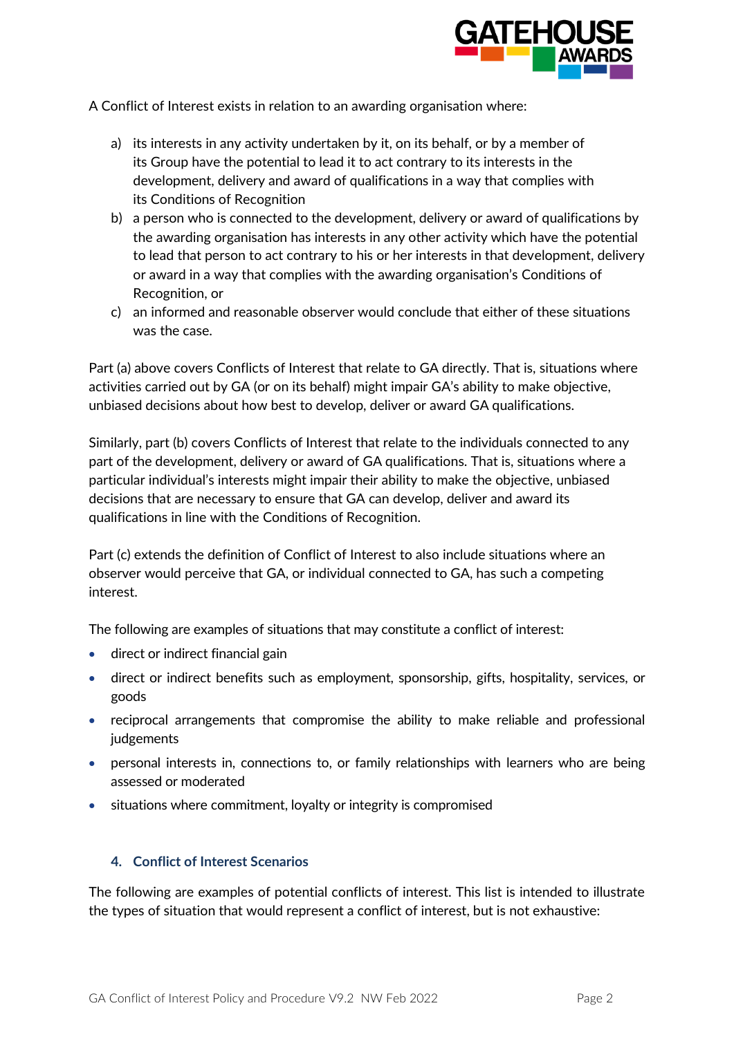

A Conflict of Interest exists in relation to an awarding organisation where:

- a) its interests in any activity undertaken by it, on its behalf, or by a member of its Group have the potential to lead it to act contrary to its interests in the development, delivery and award of qualifications in a way that complies with its Conditions of Recognition
- b) a person who is connected to the development, delivery or award of qualifications by the awarding organisation has interests in any other activity which have the potential to lead that person to act contrary to his or her interests in that development, delivery or award in a way that complies with the awarding organisation's Conditions of Recognition, or
- c) an informed and reasonable observer would conclude that either of these situations was the case.

Part (a) above covers Conflicts of Interest that relate to GA directly. That is, situations where activities carried out by GA (or on its behalf) might impair GA's ability to make objective, unbiased decisions about how best to develop, deliver or award GA qualifications.

Similarly, part (b) covers Conflicts of Interest that relate to the individuals connected to any part of the development, delivery or award of GA qualifications. That is, situations where a particular individual's interests might impair their ability to make the objective, unbiased decisions that are necessary to ensure that GA can develop, deliver and award its qualifications in line with the Conditions of Recognition.

Part (c) extends the definition of Conflict of Interest to also include situations where an observer would perceive that GA, or individual connected to GA, has such a competing interest.

The following are examples of situations that may constitute a conflict of interest:

- direct or indirect financial gain
- direct or indirect benefits such as employment, sponsorship, gifts, hospitality, services, or goods
- reciprocal arrangements that compromise the ability to make reliable and professional judgements
- personal interests in, connections to, or family relationships with learners who are being assessed or moderated
- situations where commitment, loyalty or integrity is compromised

#### **4. Conflict of Interest Scenarios**

The following are examples of potential conflicts of interest. This list is intended to illustrate the types of situation that would represent a conflict of interest, but is not exhaustive: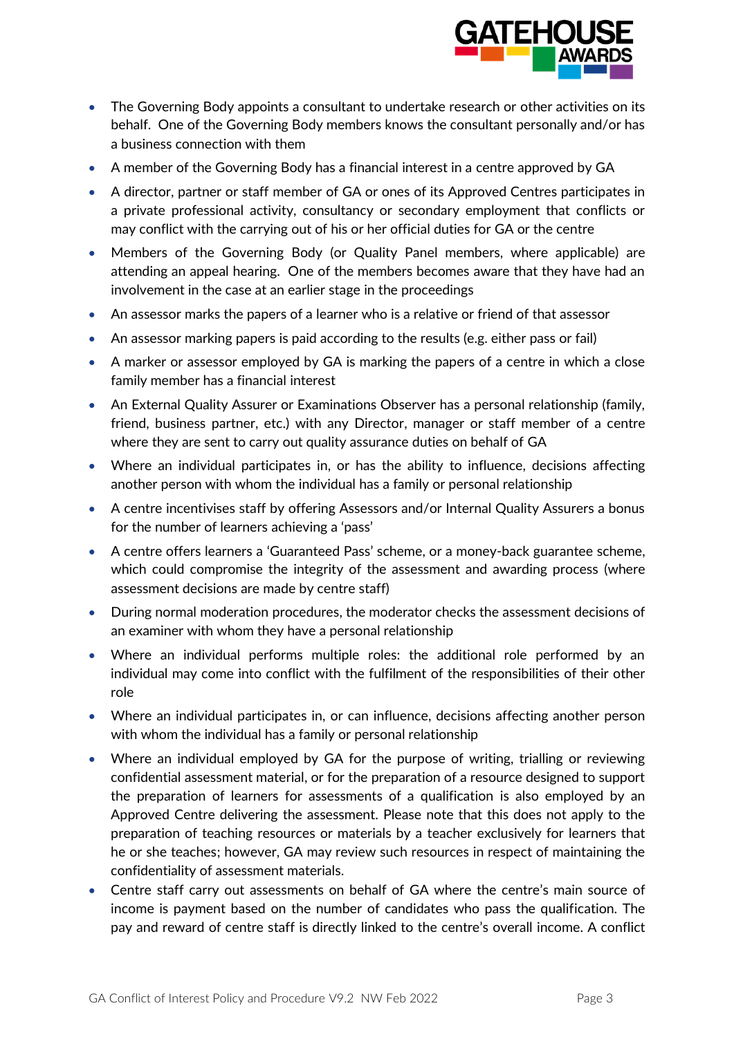

- The Governing Body appoints a consultant to undertake research or other activities on its behalf. One of the Governing Body members knows the consultant personally and/or has a business connection with them
- A member of the Governing Body has a financial interest in a centre approved by GA
- A director, partner or staff member of GA or ones of its Approved Centres participates in a private professional activity, consultancy or secondary employment that conflicts or may conflict with the carrying out of his or her official duties for GA or the centre
- Members of the Governing Body (or Quality Panel members, where applicable) are attending an appeal hearing. One of the members becomes aware that they have had an involvement in the case at an earlier stage in the proceedings
- An assessor marks the papers of a learner who is a relative or friend of that assessor
- An assessor marking papers is paid according to the results (e.g. either pass or fail)
- A marker or assessor employed by GA is marking the papers of a centre in which a close family member has a financial interest
- An External Quality Assurer or Examinations Observer has a personal relationship (family, friend, business partner, etc.) with any Director, manager or staff member of a centre where they are sent to carry out quality assurance duties on behalf of GA
- Where an individual participates in, or has the ability to influence, decisions affecting another person with whom the individual has a family or personal relationship
- A centre incentivises staff by offering Assessors and/or Internal Quality Assurers a bonus for the number of learners achieving a 'pass'
- A centre offers learners a 'Guaranteed Pass' scheme, or a money-back guarantee scheme, which could compromise the integrity of the assessment and awarding process (where assessment decisions are made by centre staff)
- During normal moderation procedures, the moderator checks the assessment decisions of an examiner with whom they have a personal relationship
- Where an individual performs multiple roles: the additional role performed by an individual may come into conflict with the fulfilment of the responsibilities of their other role
- Where an individual participates in, or can influence, decisions affecting another person with whom the individual has a family or personal relationship
- Where an individual employed by GA for the purpose of writing, trialling or reviewing confidential assessment material, or for the preparation of a resource designed to support the preparation of learners for assessments of a qualification is also employed by an Approved Centre delivering the assessment. Please note that this does not apply to the preparation of teaching resources or materials by a teacher exclusively for learners that he or she teaches; however, GA may review such resources in respect of maintaining the confidentiality of assessment materials.
- Centre staff carry out assessments on behalf of GA where the centre's main source of income is payment based on the number of candidates who pass the qualification. The pay and reward of centre staff is directly linked to the centre's overall income. A conflict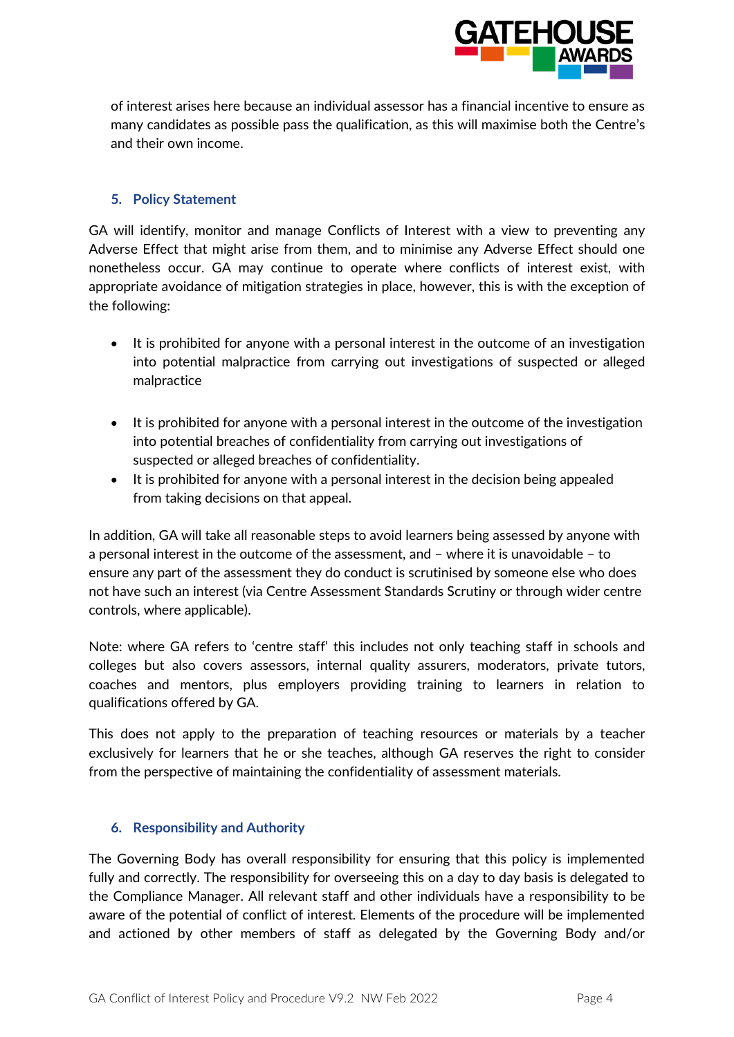

of interest arises here because an individual assessor has a financial incentive to ensure as many candidates as possible pass the qualification, as this will maximise both the Centre's and their own income.

#### **5. Policy Statement**

GA will identify, monitor and manage Conflicts of Interest with a view to preventing any Adverse Effect that might arise from them, and to minimise any Adverse Effect should one nonetheless occur. GA may continue to operate where conflicts of interest exist, with appropriate avoidance of mitigation strategies in place, however, this is with the exception of the following:

- It is prohibited for anyone with a personal interest in the outcome of an investigation into potential malpractice from carrying out investigations of suspected or alleged malpractice
- It is prohibited for anyone with a personal interest in the outcome of the investigation into potential breaches of confidentiality from carrying out investigations of suspected or alleged breaches of confidentiality.
- It is prohibited for anyone with a personal interest in the decision being appealed from taking decisions on that appeal.

In addition, GA will take all reasonable steps to avoid learners being assessed by anyone with a personal interest in the outcome of the assessment, and – where it is unavoidable – to ensure any part of the assessment they do conduct is scrutinised by someone else who does not have such an interest (via Centre Assessment Standards Scrutiny or through wider centre controls, where applicable).

Note: where GA refers to 'centre staff' this includes not only teaching staff in schools and colleges but also covers assessors, internal quality assurers, moderators, private tutors, coaches and mentors, plus employers providing training to learners in relation to qualifications offered by GA.

This does not apply to the preparation of teaching resources or materials by a teacher exclusively for learners that he or she teaches, although GA reserves the right to consider from the perspective of maintaining the confidentiality of assessment materials.

#### **6. Responsibility and Authority**

The Governing Body has overall responsibility for ensuring that this policy is implemented fully and correctly. The responsibility for overseeing this on a day to day basis is delegated to the Compliance Manager. All relevant staff and other individuals have a responsibility to be aware of the potential of conflict of interest. Elements of the procedure will be implemented and actioned by other members of staff as delegated by the Governing Body and/or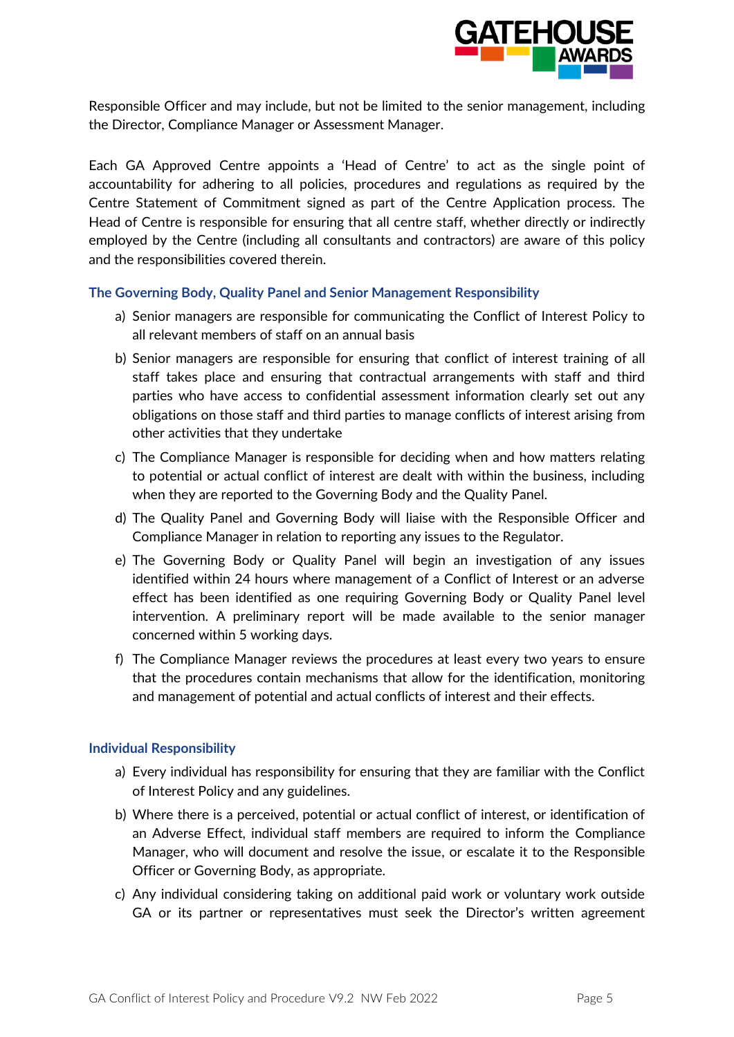

Responsible Officer and may include, but not be limited to the senior management, including the Director, Compliance Manager or Assessment Manager.

Each GA Approved Centre appoints a 'Head of Centre' to act as the single point of accountability for adhering to all policies, procedures and regulations as required by the Centre Statement of Commitment signed as part of the Centre Application process. The Head of Centre is responsible for ensuring that all centre staff, whether directly or indirectly employed by the Centre (including all consultants and contractors) are aware of this policy and the responsibilities covered therein.

#### **The Governing Body, Quality Panel and Senior Management Responsibility**

- a) Senior managers are responsible for communicating the Conflict of Interest Policy to all relevant members of staff on an annual basis
- b) Senior managers are responsible for ensuring that conflict of interest training of all staff takes place and ensuring that contractual arrangements with staff and third parties who have access to confidential assessment information clearly set out any obligations on those staff and third parties to manage conflicts of interest arising from other activities that they undertake
- c) The Compliance Manager is responsible for deciding when and how matters relating to potential or actual conflict of interest are dealt with within the business, including when they are reported to the Governing Body and the Quality Panel.
- d) The Quality Panel and Governing Body will liaise with the Responsible Officer and Compliance Manager in relation to reporting any issues to the Regulator.
- e) The Governing Body or Quality Panel will begin an investigation of any issues identified within 24 hours where management of a Conflict of Interest or an adverse effect has been identified as one requiring Governing Body or Quality Panel level intervention. A preliminary report will be made available to the senior manager concerned within 5 working days.
- f) The Compliance Manager reviews the procedures at least every two years to ensure that the procedures contain mechanisms that allow for the identification, monitoring and management of potential and actual conflicts of interest and their effects.

#### **Individual Responsibility**

- a) Every individual has responsibility for ensuring that they are familiar with the Conflict of Interest Policy and any guidelines.
- b) Where there is a perceived, potential or actual conflict of interest, or identification of an Adverse Effect, individual staff members are required to inform the Compliance Manager, who will document and resolve the issue, or escalate it to the Responsible Officer or Governing Body, as appropriate.
- c) Any individual considering taking on additional paid work or voluntary work outside GA or its partner or representatives must seek the Director's written agreement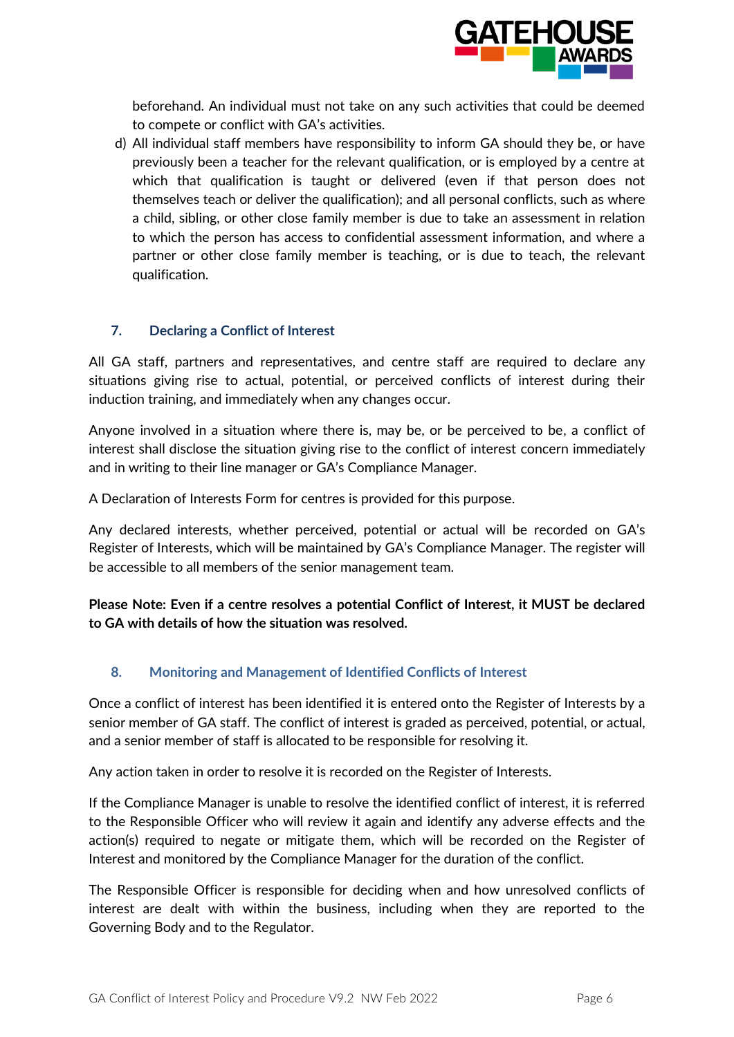

beforehand. An individual must not take on any such activities that could be deemed to compete or conflict with GA's activities.

d) All individual staff members have responsibility to inform GA should they be, or have previously been a teacher for the relevant qualification, or is employed by a centre at which that qualification is taught or delivered (even if that person does not themselves teach or deliver the qualification); and all personal conflicts, such as where a child, sibling, or other close family member is due to take an assessment in relation to which the person has access to confidential assessment information, and where a partner or other close family member is teaching, or is due to teach, the relevant qualification.

#### **7. Declaring a Conflict of Interest**

All GA staff, partners and representatives, and centre staff are required to declare any situations giving rise to actual, potential, or perceived conflicts of interest during their induction training, and immediately when any changes occur.

Anyone involved in a situation where there is, may be, or be perceived to be, a conflict of interest shall disclose the situation giving rise to the conflict of interest concern immediately and in writing to their line manager or GA's Compliance Manager.

A Declaration of Interests Form for centres is provided for this purpose.

Any declared interests, whether perceived, potential or actual will be recorded on GA's Register of Interests, which will be maintained by GA's Compliance Manager. The register will be accessible to all members of the senior management team.

**Please Note: Even if a centre resolves a potential Conflict of Interest, it MUST be declared to GA with details of how the situation was resolved.**

#### **8. Monitoring and Management of Identified Conflicts of Interest**

Once a conflict of interest has been identified it is entered onto the Register of Interests by a senior member of GA staff. The conflict of interest is graded as perceived, potential, or actual, and a senior member of staff is allocated to be responsible for resolving it.

Any action taken in order to resolve it is recorded on the Register of Interests.

If the Compliance Manager is unable to resolve the identified conflict of interest, it is referred to the Responsible Officer who will review it again and identify any adverse effects and the action(s) required to negate or mitigate them, which will be recorded on the Register of Interest and monitored by the Compliance Manager for the duration of the conflict.

The Responsible Officer is responsible for deciding when and how unresolved conflicts of interest are dealt with within the business, including when they are reported to the Governing Body and to the Regulator.